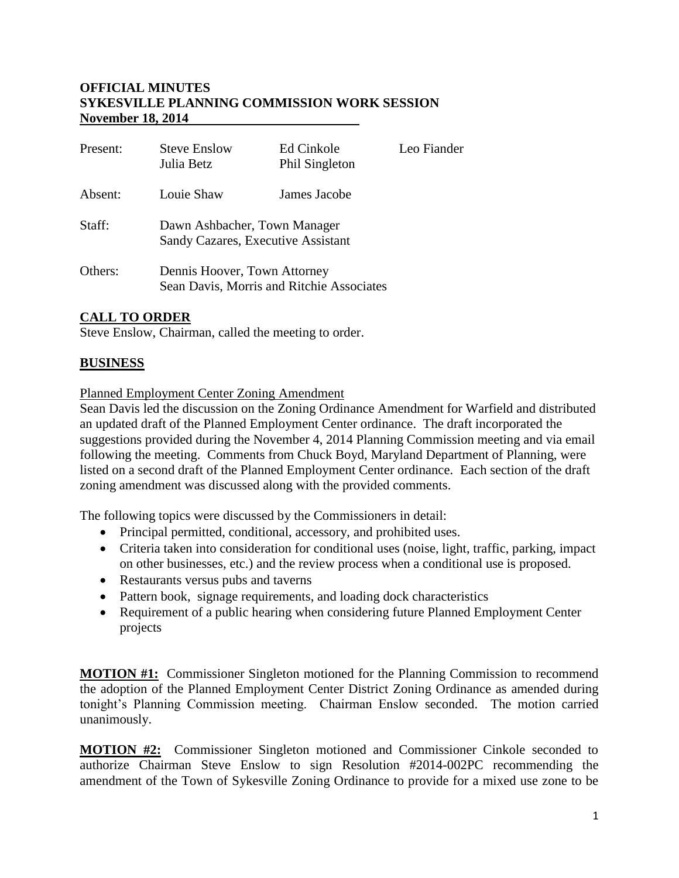#### **OFFICIAL MINUTES SYKESVILLE PLANNING COMMISSION WORK SESSION November 18, 2014**

| Present: | <b>Steve Enslow</b><br>Julia Betz                                         | Ed Cinkole<br>Phil Singleton | Leo Fiander |
|----------|---------------------------------------------------------------------------|------------------------------|-------------|
| Absent:  | Louie Shaw                                                                | James Jacobe                 |             |
| Staff:   | Dawn Ashbacher, Town Manager<br>Sandy Cazares, Executive Assistant        |                              |             |
| Others:  | Dennis Hoover, Town Attorney<br>Sean Davis, Morris and Ritchie Associates |                              |             |

## **CALL TO ORDER**

Steve Enslow, Chairman, called the meeting to order.

### **BUSINESS**

#### Planned Employment Center Zoning Amendment

Sean Davis led the discussion on the Zoning Ordinance Amendment for Warfield and distributed an updated draft of the Planned Employment Center ordinance. The draft incorporated the suggestions provided during the November 4, 2014 Planning Commission meeting and via email following the meeting. Comments from Chuck Boyd, Maryland Department of Planning, were listed on a second draft of the Planned Employment Center ordinance. Each section of the draft zoning amendment was discussed along with the provided comments.

The following topics were discussed by the Commissioners in detail:

- Principal permitted, conditional, accessory, and prohibited uses.
- Criteria taken into consideration for conditional uses (noise, light, traffic, parking, impact on other businesses, etc.) and the review process when a conditional use is proposed.
- Restaurants versus pubs and taverns
- Pattern book, signage requirements, and loading dock characteristics
- Requirement of a public hearing when considering future Planned Employment Center projects

**MOTION #1:** Commissioner Singleton motioned for the Planning Commission to recommend the adoption of the Planned Employment Center District Zoning Ordinance as amended during tonight's Planning Commission meeting. Chairman Enslow seconded. The motion carried unanimously.

**MOTION #2:** Commissioner Singleton motioned and Commissioner Cinkole seconded to authorize Chairman Steve Enslow to sign Resolution #2014-002PC recommending the amendment of the Town of Sykesville Zoning Ordinance to provide for a mixed use zone to be